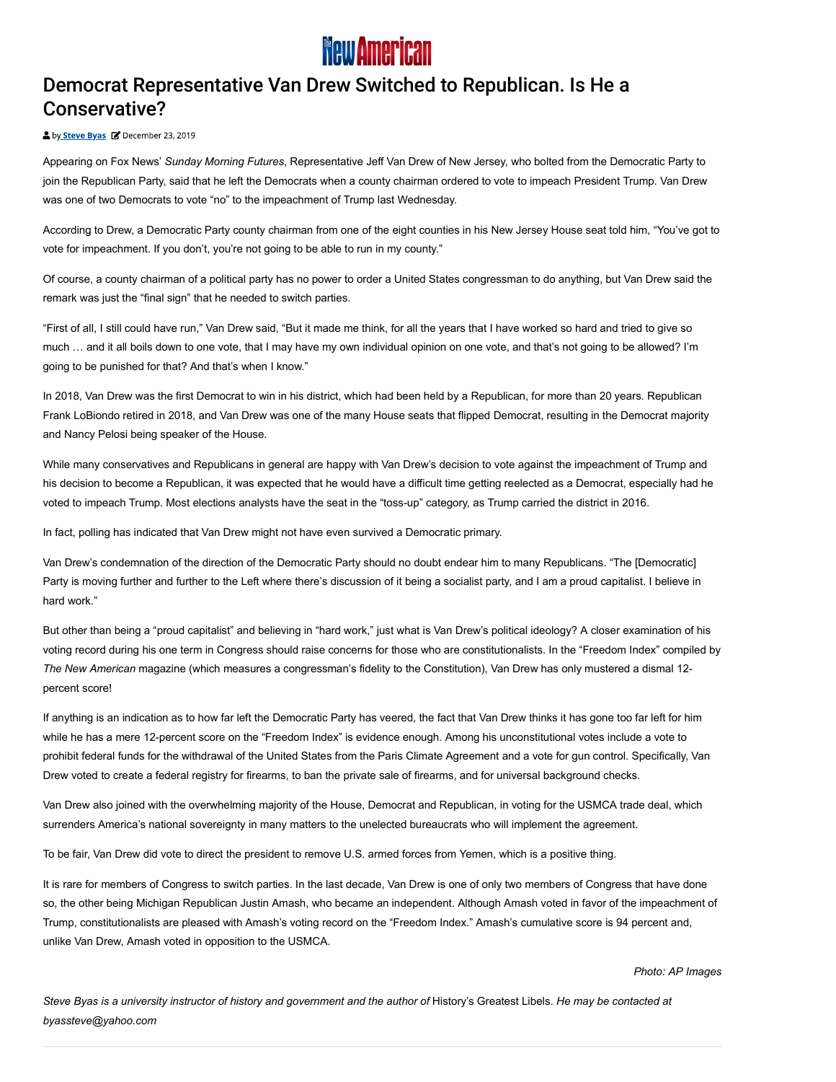

## Democrat Representative Van Drew Switched to Republican. Is He a Conservative?

## by **Steve Byas B** December 23, 2019

Appearing on Fox News' Sunday Morning Futures, Representative Jeff Van Drew of New Jersey, who bolted from the Democratic Party to join the Republican Party, said that he left the Democrats when a county chairman ordered to vote to impeach President Trump. Van Drew was one of two Democrats to vote "no" to the impeachment of Trump last Wednesday.

According to Drew, a Democratic Party county chairman from one of the eight counties in his New Jersey House seat told him, "You've got to vote for impeachment. If you don't, you're not going to be able to run in my county."

Of course, a county chairman of a political party has no power to order a United States congressman to do anything, but Van Drew said the remark was just the "final sign" that he needed to switch parties.

"First of all, I still could have run," Van Drew said, "But it made me think, for all the years that I have worked so hard and tried to give so much … and it all boils down to one vote, that I may have my own individual opinion on one vote, and that's not going to be allowed? I'm going to be punished for that? And that's when I know."

In 2018, Van Drew was the first Democrat to win in his district, which had been held by a Republican, for more than 20 years. Republican Frank LoBiondo retired in 2018, and Van Drew was one of the many House seats that flipped Democrat, resulting in the Democrat majority and Nancy Pelosi being speaker of the House.

While many conservatives and Republicans in general are happy with Van Drew's decision to vote against the impeachment of Trump and his decision to become a Republican, it was expected that he would have a difficult time getting reelected as a Democrat, especially had he voted to impeach Trump. Most elections analysts have the seat in the "toss-up" category, as Trump carried the district in 2016.

In fact, polling has indicated that Van Drew might not have even survived a Democratic primary.

Van Drew's condemnation of the direction of the Democratic Party should no doubt endear him to many Republicans. "The [Democratic] Party is moving further and further to the Left where there's discussion of it being a socialist party, and I am a proud capitalist. I believe in hard work."

But other than being a "proud capitalist" and believing in "hard work," just what is Van Drew's political ideology? A closer examination of his voting record during his one term in Congress should raise concerns for those who are constitutionalists. In the "Freedom Index" compiled by The New American magazine (which measures a congressman's fidelity to the Constitution), Van Drew has only mustered a dismal 12percent score!

If anything is an indication as to how far left the Democratic Party has veered, the fact that Van Drew thinks it has gone too far left for him while he has a mere 12-percent score on the "Freedom Index" is evidence enough. Among his unconstitutional votes include a vote to prohibit federal funds for the withdrawal of the United States from the Paris Climate Agreement and a vote for gun control. Specifically, Van Drew voted to create a federal registry for firearms, to ban the private sale of firearms, and for universal background checks.

Van Drew also joined with the overwhelming majority of the House, Democrat and Republican, in voting for the USMCA trade deal, which surrenders America's national sovereignty in many matters to the unelected bureaucrats who will implement the agreement.

To be fair, Van Drew did vote to direct the president to remove U.S. armed forces from Yemen, which is a positive thing.

It is rare for members of Congress to switch parties. In the last decade, Van Drew is one of only two members of Congress that have done so, the other being Michigan Republican Justin Amash, who became an independent. Although Amash voted in favor of the impeachment of Trump, constitutionalists are pleased with Amash's voting record on the "Freedom Index." Amash's cumulative score is 94 percent and, unlike Van Drew, Amash voted in opposition to the USMCA.

Photo: AP Images

Steve Byas is a university instructor of history and government and the author of History's Greatest Libels. He may be contacted at byassteve@yahoo.com